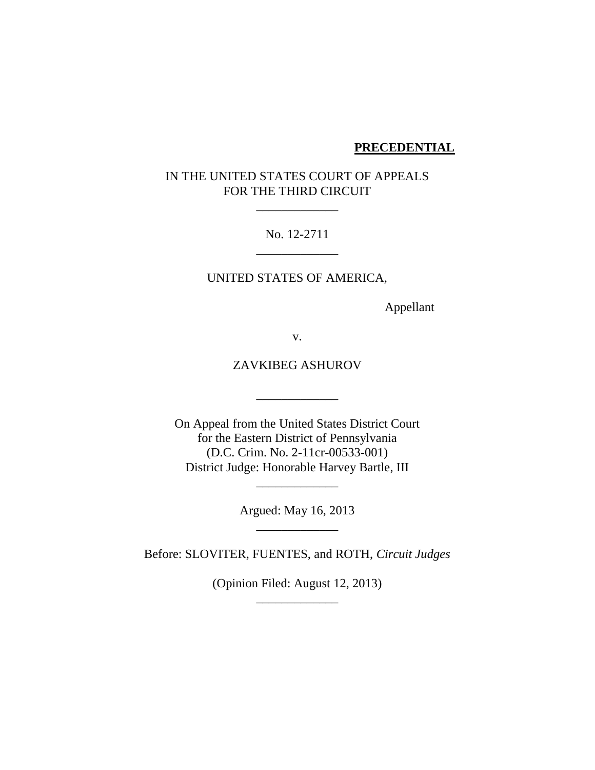#### **PRECEDENTIAL**

# IN THE UNITED STATES COURT OF APPEALS FOR THE THIRD CIRCUIT

## No. 12-2711 \_\_\_\_\_\_\_\_\_\_\_\_\_

 $\mathcal{L}=\mathcal{L}$  , we have the set of the set of the set of the set of the set of the set of the set of the set of the set of the set of the set of the set of the set of the set of the set of the set of the set of the set o

#### UNITED STATES OF AMERICA,

Appellant

v.

## ZAVKIBEG ASHUROV

\_\_\_\_\_\_\_\_\_\_\_\_\_

On Appeal from the United States District Court for the Eastern District of Pennsylvania (D.C. Crim. No. 2-11cr-00533-001) District Judge: Honorable Harvey Bartle, III

> Argued: May 16, 2013 \_\_\_\_\_\_\_\_\_\_\_\_\_

\_\_\_\_\_\_\_\_\_\_\_\_\_

Before: SLOVITER, FUENTES, and ROTH, *Circuit Judges*

(Opinion Filed: August 12, 2013) \_\_\_\_\_\_\_\_\_\_\_\_\_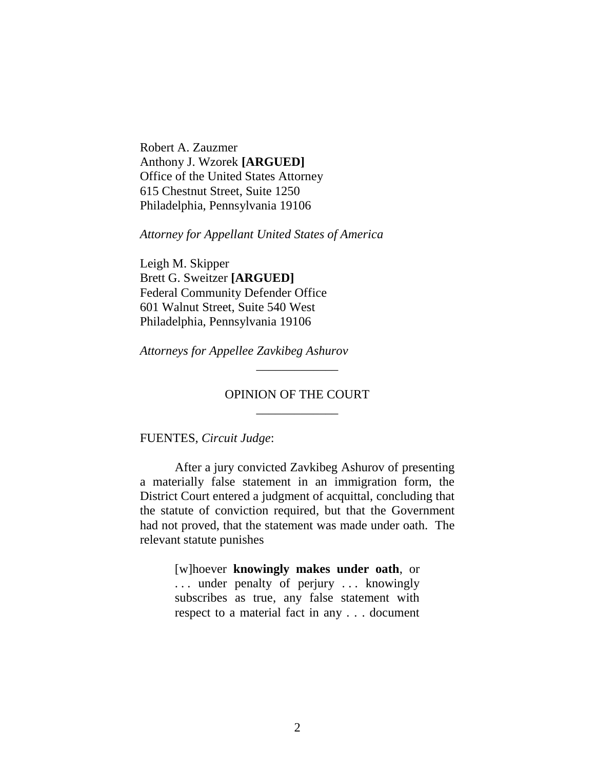Robert A. Zauzmer Anthony J. Wzorek **[ARGUED]** Office of the United States Attorney 615 Chestnut Street, Suite 1250 Philadelphia, Pennsylvania 19106

*Attorney for Appellant United States of America*

Leigh M. Skipper Brett G. Sweitzer **[ARGUED]** Federal Community Defender Office 601 Walnut Street, Suite 540 West Philadelphia, Pennsylvania 19106

*Attorneys for Appellee Zavkibeg Ashurov*

### OPINION OF THE COURT \_\_\_\_\_\_\_\_\_\_\_\_\_

\_\_\_\_\_\_\_\_\_\_\_\_\_

FUENTES, *Circuit Judge*:

After a jury convicted Zavkibeg Ashurov of presenting a materially false statement in an immigration form, the District Court entered a judgment of acquittal, concluding that the statute of conviction required, but that the Government had not proved, that the statement was made under oath. The relevant statute punishes

> [w]hoever **knowingly makes under oath**, or ... under penalty of perjury ... knowingly subscribes as true, any false statement with respect to a material fact in any . . . document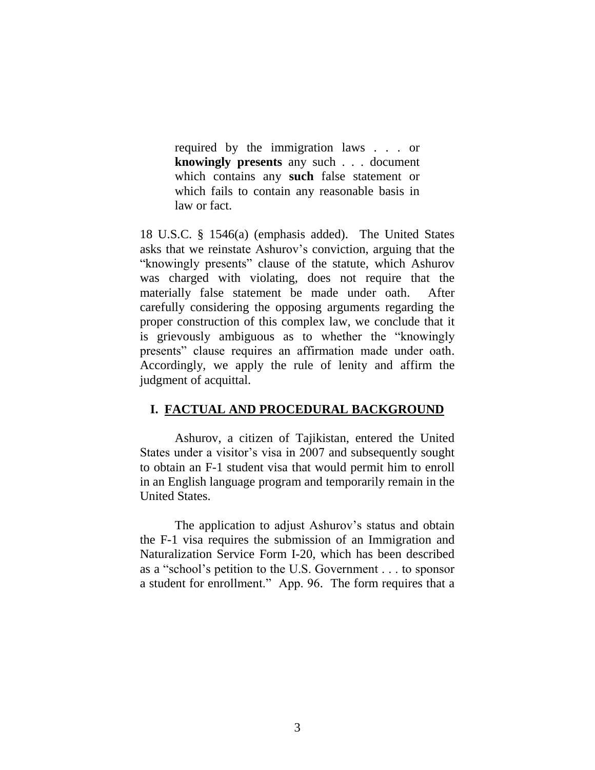required by the immigration laws . . . or **knowingly presents** any such . . . document which contains any **such** false statement or which fails to contain any reasonable basis in law or fact.

18 U.S.C. § 1546(a) (emphasis added). The United States asks that we reinstate Ashurov's conviction, arguing that the "knowingly presents" clause of the statute, which Ashurov was charged with violating, does not require that the materially false statement be made under oath. After carefully considering the opposing arguments regarding the proper construction of this complex law, we conclude that it is grievously ambiguous as to whether the "knowingly presents" clause requires an affirmation made under oath. Accordingly, we apply the rule of lenity and affirm the judgment of acquittal.

# **I. FACTUAL AND PROCEDURAL BACKGROUND**

Ashurov, a citizen of Tajikistan, entered the United States under a visitor's visa in 2007 and subsequently sought to obtain an F-1 student visa that would permit him to enroll in an English language program and temporarily remain in the United States.

The application to adjust Ashurov's status and obtain the F-1 visa requires the submission of an Immigration and Naturalization Service Form I-20, which has been described as a "school's petition to the U.S. Government . . . to sponsor a student for enrollment." App. 96. The form requires that a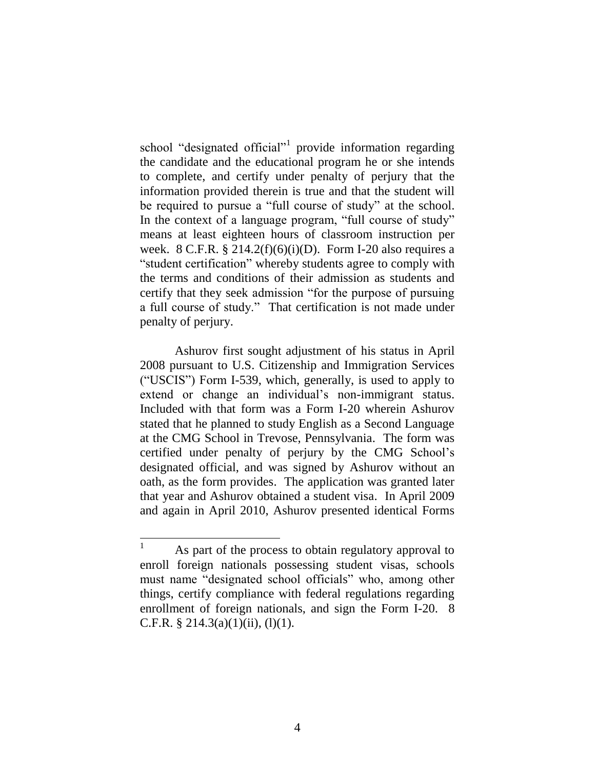school "designated official"<sup>1</sup> provide information regarding the candidate and the educational program he or she intends to complete, and certify under penalty of perjury that the information provided therein is true and that the student will be required to pursue a "full course of study" at the school. In the context of a language program, "full course of study" means at least eighteen hours of classroom instruction per week. 8 C.F.R.  $\S 214.2(f)(6)(i)(D)$ . Form I-20 also requires a "student certification" whereby students agree to comply with the terms and conditions of their admission as students and certify that they seek admission "for the purpose of pursuing a full course of study." That certification is not made under penalty of perjury.

Ashurov first sought adjustment of his status in April 2008 pursuant to U.S. Citizenship and Immigration Services ("USCIS") Form I-539, which, generally, is used to apply to extend or change an individual's non-immigrant status. Included with that form was a Form I-20 wherein Ashurov stated that he planned to study English as a Second Language at the CMG School in Trevose, Pennsylvania. The form was certified under penalty of perjury by the CMG School's designated official, and was signed by Ashurov without an oath, as the form provides. The application was granted later that year and Ashurov obtained a student visa. In April 2009 and again in April 2010, Ashurov presented identical Forms

 $\mathbf{1}$ As part of the process to obtain regulatory approval to enroll foreign nationals possessing student visas, schools must name "designated school officials" who, among other things, certify compliance with federal regulations regarding enrollment of foreign nationals, and sign the Form I-20. 8 C.F.R. § 214.3(a)(1)(ii), (1)(1).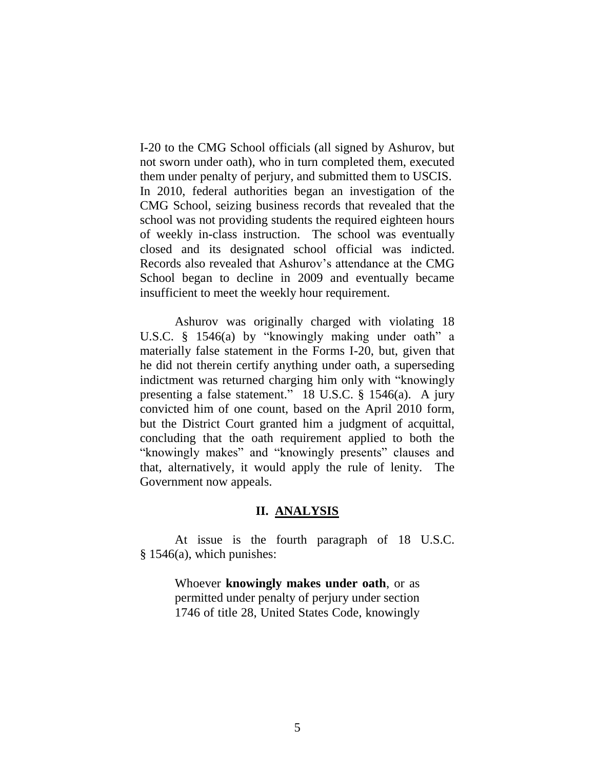I-20 to the CMG School officials (all signed by Ashurov, but not sworn under oath), who in turn completed them, executed them under penalty of perjury, and submitted them to USCIS. In 2010, federal authorities began an investigation of the CMG School, seizing business records that revealed that the school was not providing students the required eighteen hours of weekly in-class instruction. The school was eventually closed and its designated school official was indicted. Records also revealed that Ashurov's attendance at the CMG School began to decline in 2009 and eventually became insufficient to meet the weekly hour requirement.

Ashurov was originally charged with violating 18 U.S.C. § 1546(a) by "knowingly making under oath" a materially false statement in the Forms I-20, but, given that he did not therein certify anything under oath, a superseding indictment was returned charging him only with "knowingly presenting a false statement." 18 U.S.C. § 1546(a). A jury convicted him of one count, based on the April 2010 form, but the District Court granted him a judgment of acquittal, concluding that the oath requirement applied to both the "knowingly makes" and "knowingly presents" clauses and that, alternatively, it would apply the rule of lenity. The Government now appeals.

#### **II. ANALYSIS**

At issue is the fourth paragraph of 18 U.S.C. § 1546(a), which punishes:

> Whoever **knowingly makes under oath**, or as permitted under penalty of perjury under section 1746 of title 28, United States Code, knowingly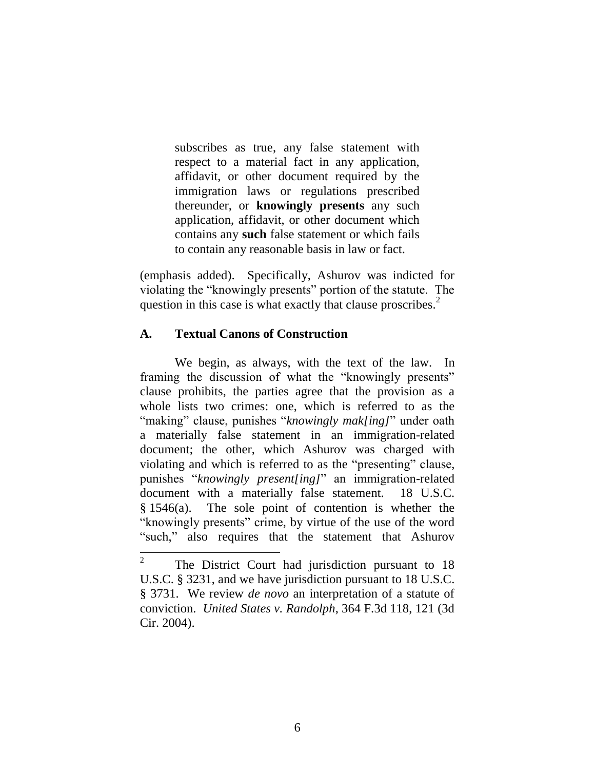subscribes as true, any false statement with respect to a material fact in any application, affidavit, or other document required by the immigration laws or regulations prescribed thereunder, or **knowingly presents** any such application, affidavit, or other document which contains any **such** false statement or which fails to contain any reasonable basis in law or fact.

(emphasis added). Specifically, Ashurov was indicted for violating the "knowingly presents" portion of the statute. The question in this case is what exactly that clause proscribes. $<sup>2</sup>$ </sup>

# **A. Textual Canons of Construction**

We begin, as always, with the text of the law. In framing the discussion of what the "knowingly presents" clause prohibits, the parties agree that the provision as a whole lists two crimes: one, which is referred to as the "making" clause, punishes "*knowingly mak[ing]*" under oath a materially false statement in an immigration-related document; the other, which Ashurov was charged with violating and which is referred to as the "presenting" clause, punishes "*knowingly present[ing]*" an immigration-related document with a materially false statement. 18 U.S.C. § 1546(a). The sole point of contention is whether the "knowingly presents" crime, by virtue of the use of the word "such," also requires that the statement that Ashurov

 $\frac{1}{2}$ The District Court had jurisdiction pursuant to 18 U.S.C. § 3231, and we have jurisdiction pursuant to 18 U.S.C. § 3731. We review *de novo* an interpretation of a statute of conviction. *United States v. Randolph*, 364 F.3d 118, 121 (3d Cir. 2004).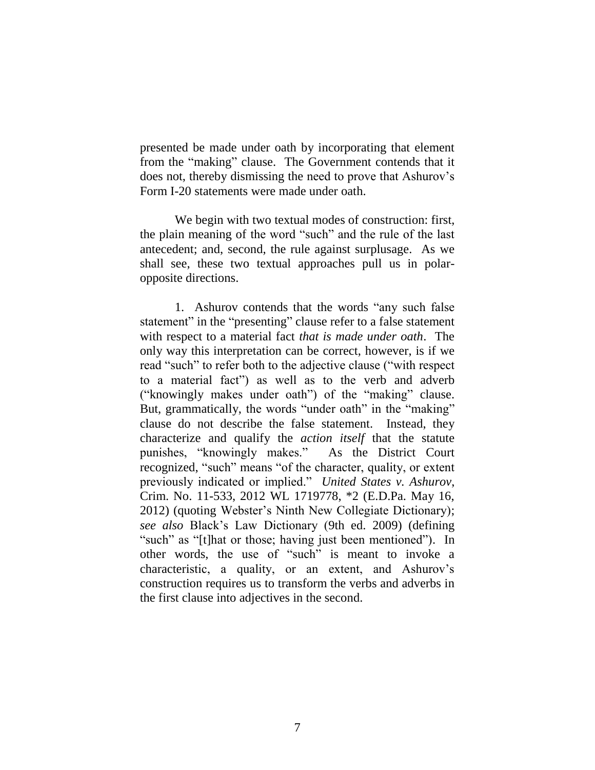presented be made under oath by incorporating that element from the "making" clause. The Government contends that it does not, thereby dismissing the need to prove that Ashurov's Form I-20 statements were made under oath.

We begin with two textual modes of construction: first, the plain meaning of the word "such" and the rule of the last antecedent; and, second, the rule against surplusage. As we shall see, these two textual approaches pull us in polaropposite directions.

1. Ashurov contends that the words "any such false statement" in the "presenting" clause refer to a false statement with respect to a material fact *that is made under oath*. The only way this interpretation can be correct, however, is if we read "such" to refer both to the adjective clause ("with respect to a material fact") as well as to the verb and adverb ("knowingly makes under oath") of the "making" clause. But, grammatically, the words "under oath" in the "making" clause do not describe the false statement. Instead, they characterize and qualify the *action itself* that the statute punishes, "knowingly makes." As the District Court recognized, "such" means "of the character, quality, or extent previously indicated or implied." *United States v. Ashurov*, Crim. No. 11-533, 2012 WL 1719778, \*2 (E.D.Pa. May 16, 2012) (quoting Webster's Ninth New Collegiate Dictionary); *see also* Black's Law Dictionary (9th ed. 2009) (defining "such" as "[t]hat or those; having just been mentioned"). In other words, the use of "such" is meant to invoke a characteristic, a quality, or an extent, and Ashurov's construction requires us to transform the verbs and adverbs in the first clause into adjectives in the second.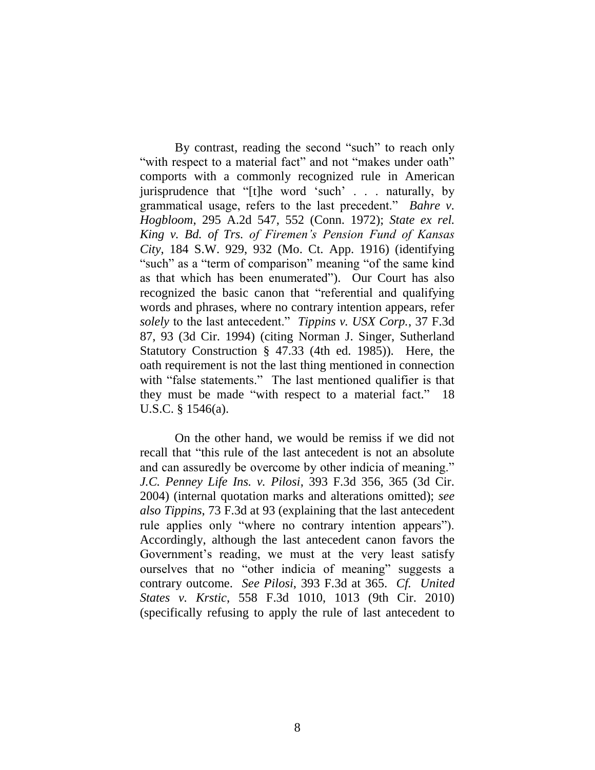By contrast, reading the second "such" to reach only "with respect to a material fact" and not "makes under oath" comports with a commonly recognized rule in American jurisprudence that "[t]he word 'such' . . . naturally, by grammatical usage, refers to the last precedent." *Bahre v. Hogbloom*, 295 A.2d 547, 552 (Conn. 1972); *State ex rel. King v. Bd. of Trs. of Firemen's Pension Fund of Kansas City*, 184 S.W. 929, 932 (Mo. Ct. App. 1916) (identifying "such" as a "term of comparison" meaning "of the same kind as that which has been enumerated"). Our Court has also recognized the basic canon that "referential and qualifying words and phrases, where no contrary intention appears, refer *solely* to the last antecedent." *Tippins v. USX Corp.*, 37 F.3d 87, 93 (3d Cir. 1994) (citing Norman J. Singer, Sutherland Statutory Construction § 47.33 (4th ed. 1985)). Here, the oath requirement is not the last thing mentioned in connection with "false statements." The last mentioned qualifier is that they must be made "with respect to a material fact." 18 U.S.C. § 1546(a).

On the other hand, we would be remiss if we did not recall that "this rule of the last antecedent is not an absolute and can assuredly be overcome by other indicia of meaning." *J.C. Penney Life Ins. v. Pilosi*, 393 F.3d 356, 365 (3d Cir. 2004) (internal quotation marks and alterations omitted); *see also Tippins*, 73 F.3d at 93 (explaining that the last antecedent rule applies only "where no contrary intention appears"). Accordingly, although the last antecedent canon favors the Government's reading, we must at the very least satisfy ourselves that no "other indicia of meaning" suggests a contrary outcome. *See Pilosi*, 393 F.3d at 365. *Cf. United States v. Krstic*, 558 F.3d 1010, 1013 (9th Cir. 2010) (specifically refusing to apply the rule of last antecedent to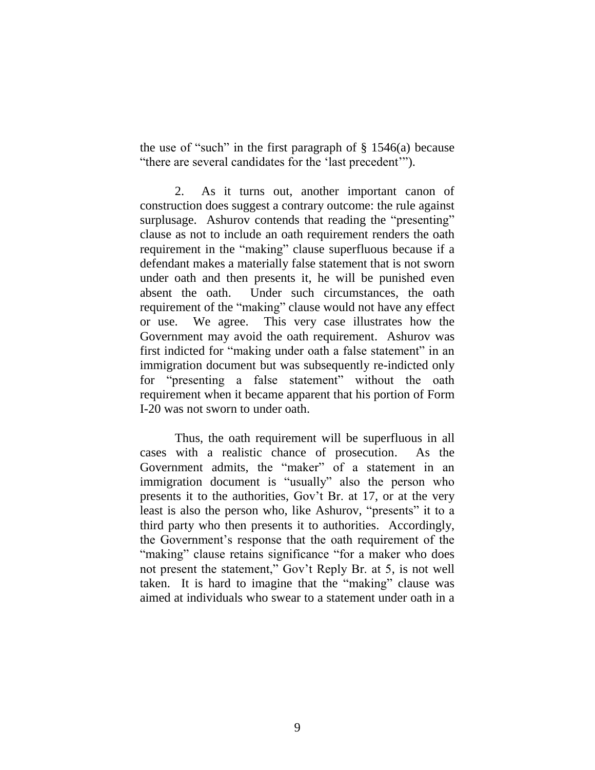the use of "such" in the first paragraph of  $\S$  1546(a) because "there are several candidates for the 'last precedent'").

2. As it turns out, another important canon of construction does suggest a contrary outcome: the rule against surplusage. Ashurov contends that reading the "presenting" clause as not to include an oath requirement renders the oath requirement in the "making" clause superfluous because if a defendant makes a materially false statement that is not sworn under oath and then presents it, he will be punished even absent the oath. Under such circumstances, the oath requirement of the "making" clause would not have any effect or use. We agree. This very case illustrates how the Government may avoid the oath requirement. Ashurov was first indicted for "making under oath a false statement" in an immigration document but was subsequently re-indicted only for "presenting a false statement" without the oath requirement when it became apparent that his portion of Form I-20 was not sworn to under oath.

Thus, the oath requirement will be superfluous in all cases with a realistic chance of prosecution. As the Government admits, the "maker" of a statement in an immigration document is "usually" also the person who presents it to the authorities, Gov't Br. at 17, or at the very least is also the person who, like Ashurov, "presents" it to a third party who then presents it to authorities. Accordingly, the Government's response that the oath requirement of the "making" clause retains significance "for a maker who does not present the statement," Gov't Reply Br. at 5, is not well taken. It is hard to imagine that the "making" clause was aimed at individuals who swear to a statement under oath in a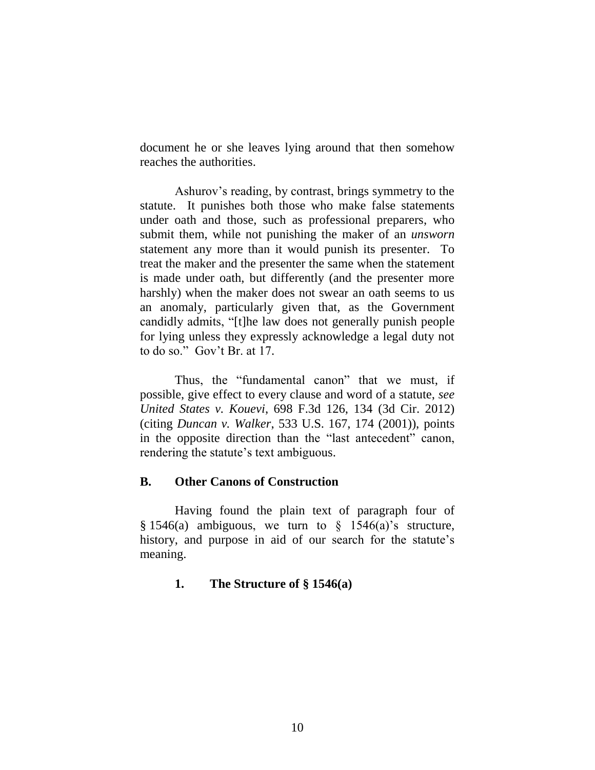document he or she leaves lying around that then somehow reaches the authorities.

Ashurov's reading, by contrast, brings symmetry to the statute. It punishes both those who make false statements under oath and those, such as professional preparers, who submit them, while not punishing the maker of an *unsworn* statement any more than it would punish its presenter. To treat the maker and the presenter the same when the statement is made under oath, but differently (and the presenter more harshly) when the maker does not swear an oath seems to us an anomaly, particularly given that, as the Government candidly admits, "[t]he law does not generally punish people for lying unless they expressly acknowledge a legal duty not to do so." Gov't Br. at 17.

Thus, the "fundamental canon" that we must, if possible, give effect to every clause and word of a statute, *see United States v. Kouevi*, 698 F.3d 126, 134 (3d Cir. 2012) (citing *Duncan v. Walker*, 533 U.S. 167, 174 (2001)), points in the opposite direction than the "last antecedent" canon, rendering the statute's text ambiguous.

### **B. Other Canons of Construction**

Having found the plain text of paragraph four of  $§ 1546(a)$  ambiguous, we turn to  $§ 1546(a)$ 's structure, history, and purpose in aid of our search for the statute's meaning.

### **1. The Structure of § 1546(a)**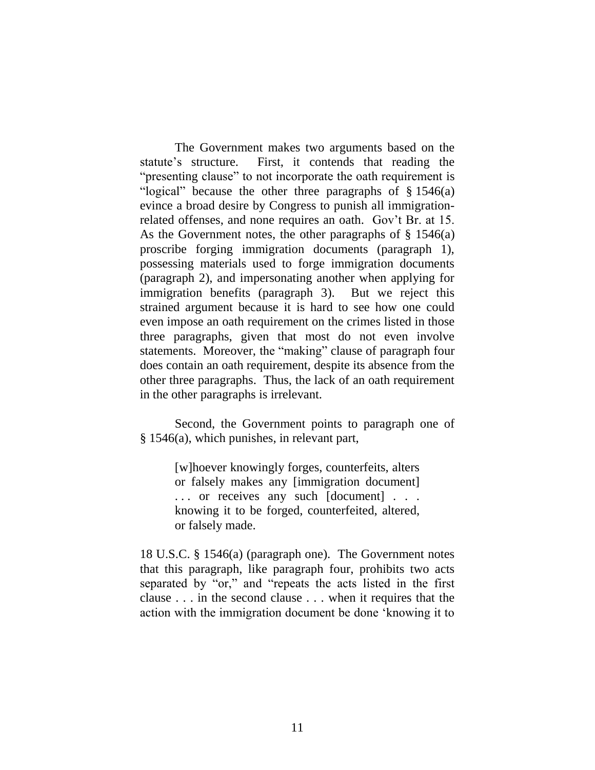The Government makes two arguments based on the statute's structure. First, it contends that reading the "presenting clause" to not incorporate the oath requirement is "logical" because the other three paragraphs of § 1546(a) evince a broad desire by Congress to punish all immigrationrelated offenses, and none requires an oath. Gov't Br. at 15. As the Government notes, the other paragraphs of  $\S$  1546(a) proscribe forging immigration documents (paragraph 1), possessing materials used to forge immigration documents (paragraph 2), and impersonating another when applying for immigration benefits (paragraph 3). But we reject this strained argument because it is hard to see how one could even impose an oath requirement on the crimes listed in those three paragraphs, given that most do not even involve statements. Moreover, the "making" clause of paragraph four does contain an oath requirement, despite its absence from the other three paragraphs. Thus, the lack of an oath requirement in the other paragraphs is irrelevant.

Second, the Government points to paragraph one of § 1546(a), which punishes, in relevant part,

> [w]hoever knowingly forges, counterfeits, alters or falsely makes any [immigration document] . . . or receives any such [document] . . . knowing it to be forged, counterfeited, altered, or falsely made.

18 U.S.C. § 1546(a) (paragraph one). The Government notes that this paragraph, like paragraph four, prohibits two acts separated by "or," and "repeats the acts listed in the first clause . . . in the second clause . . . when it requires that the action with the immigration document be done 'knowing it to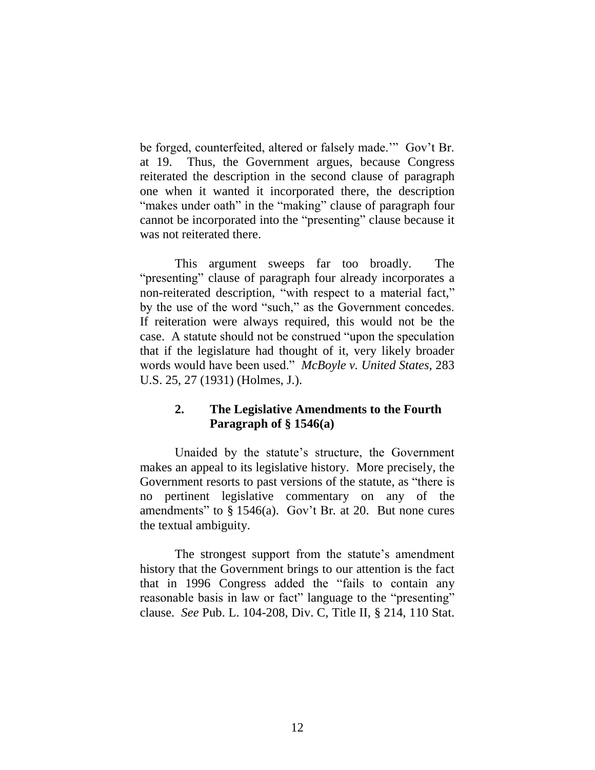be forged, counterfeited, altered or falsely made.'" Gov't Br. at 19. Thus, the Government argues, because Congress reiterated the description in the second clause of paragraph one when it wanted it incorporated there, the description "makes under oath" in the "making" clause of paragraph four cannot be incorporated into the "presenting" clause because it was not reiterated there.

This argument sweeps far too broadly. The "presenting" clause of paragraph four already incorporates a non-reiterated description, "with respect to a material fact," by the use of the word "such," as the Government concedes. If reiteration were always required, this would not be the case. A statute should not be construed "upon the speculation that if the legislature had thought of it, very likely broader words would have been used." *McBoyle v. United States*, 283 U.S. 25, 27 (1931) (Holmes, J.).

# **2. The Legislative Amendments to the Fourth Paragraph of § 1546(a)**

Unaided by the statute's structure, the Government makes an appeal to its legislative history. More precisely, the Government resorts to past versions of the statute, as "there is no pertinent legislative commentary on any of the amendments" to § 1546(a). Gov't Br*.* at 20. But none cures the textual ambiguity.

The strongest support from the statute's amendment history that the Government brings to our attention is the fact that in 1996 Congress added the "fails to contain any reasonable basis in law or fact" language to the "presenting" clause. *See* Pub. L. 104-208, Div. C, Title II, § 214, 110 Stat.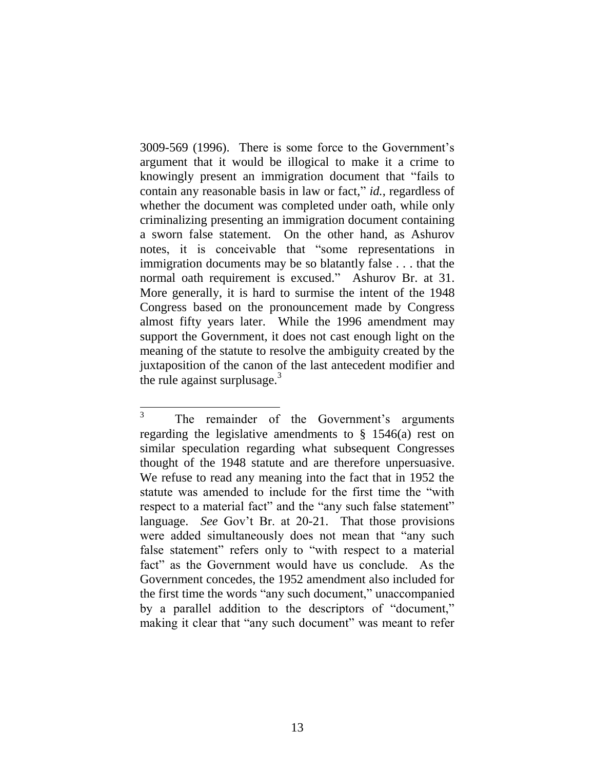3009-569 (1996). There is some force to the Government's argument that it would be illogical to make it a crime to knowingly present an immigration document that "fails to contain any reasonable basis in law or fact," *id.*, regardless of whether the document was completed under oath, while only criminalizing presenting an immigration document containing a sworn false statement. On the other hand, as Ashurov notes, it is conceivable that "some representations in immigration documents may be so blatantly false . . . that the normal oath requirement is excused." Ashurov Br. at 31. More generally, it is hard to surmise the intent of the 1948 Congress based on the pronouncement made by Congress almost fifty years later. While the 1996 amendment may support the Government, it does not cast enough light on the meaning of the statute to resolve the ambiguity created by the juxtaposition of the canon of the last antecedent modifier and the rule against surplusage.<sup>3</sup>

 3 The remainder of the Government's arguments regarding the legislative amendments to  $\S$  1546(a) rest on similar speculation regarding what subsequent Congresses thought of the 1948 statute and are therefore unpersuasive. We refuse to read any meaning into the fact that in 1952 the statute was amended to include for the first time the "with respect to a material fact" and the "any such false statement" language. *See* Gov't Br. at 20-21. That those provisions were added simultaneously does not mean that "any such false statement" refers only to "with respect to a material fact" as the Government would have us conclude. As the Government concedes, the 1952 amendment also included for the first time the words "any such document," unaccompanied by a parallel addition to the descriptors of "document," making it clear that "any such document" was meant to refer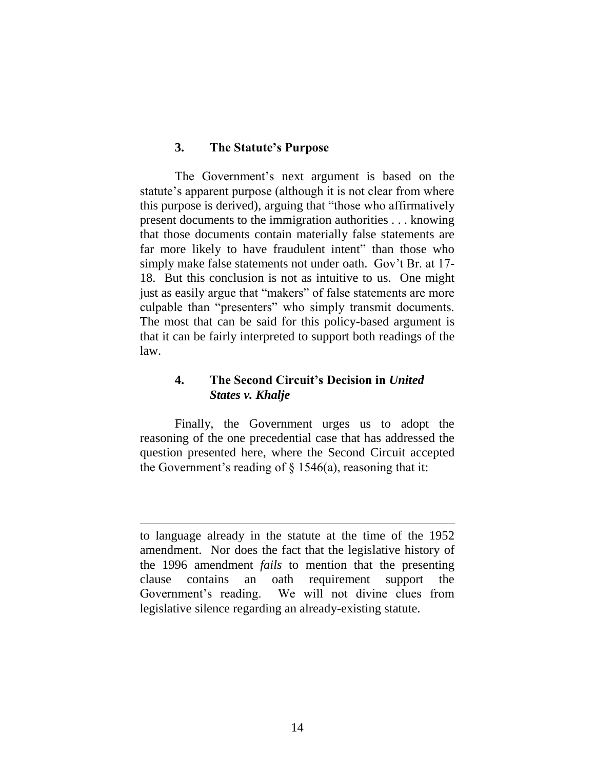#### **3. The Statute's Purpose**

The Government's next argument is based on the statute's apparent purpose (although it is not clear from where this purpose is derived), arguing that "those who affirmatively present documents to the immigration authorities . . . knowing that those documents contain materially false statements are far more likely to have fraudulent intent" than those who simply make false statements not under oath. Gov't Br. at 17- 18. But this conclusion is not as intuitive to us. One might just as easily argue that "makers" of false statements are more culpable than "presenters" who simply transmit documents. The most that can be said for this policy-based argument is that it can be fairly interpreted to support both readings of the law.

# **4. The Second Circuit's Decision in** *United States v. Khalje*

Finally, the Government urges us to adopt the reasoning of the one precedential case that has addressed the question presented here, where the Second Circuit accepted the Government's reading of  $\S$  1546(a), reasoning that it:

 $\overline{a}$ 

to language already in the statute at the time of the 1952 amendment. Nor does the fact that the legislative history of the 1996 amendment *fails* to mention that the presenting clause contains an oath requirement support the Government's reading. We will not divine clues from legislative silence regarding an already-existing statute.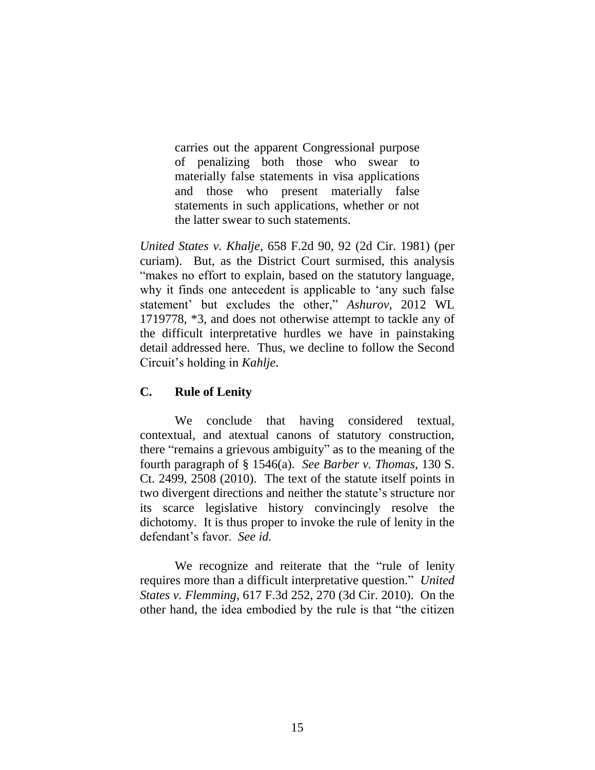carries out the apparent Congressional purpose of penalizing both those who swear to materially false statements in visa applications and those who present materially false statements in such applications, whether or not the latter swear to such statements.

*United States v. Khalje*, 658 F.2d 90, 92 (2d Cir. 1981) (per curiam). But, as the District Court surmised, this analysis "makes no effort to explain, based on the statutory language, why it finds one antecedent is applicable to 'any such false statement' but excludes the other," *Ashurov*, 2012 WL 1719778, \*3, and does not otherwise attempt to tackle any of the difficult interpretative hurdles we have in painstaking detail addressed here. Thus, we decline to follow the Second Circuit's holding in *Kahlje*.

# **C. Rule of Lenity**

We conclude that having considered textual, contextual, and atextual canons of statutory construction, there "remains a grievous ambiguity" as to the meaning of the fourth paragraph of § 1546(a). *See Barber v. Thomas*, 130 S. Ct. 2499, 2508 (2010). The text of the statute itself points in two divergent directions and neither the statute's structure nor its scarce legislative history convincingly resolve the dichotomy. It is thus proper to invoke the rule of lenity in the defendant's favor. *See id.*

We recognize and reiterate that the "rule of lenity requires more than a difficult interpretative question." *United States v. Flemming*, 617 F.3d 252, 270 (3d Cir. 2010). On the other hand, the idea embodied by the rule is that "the citizen